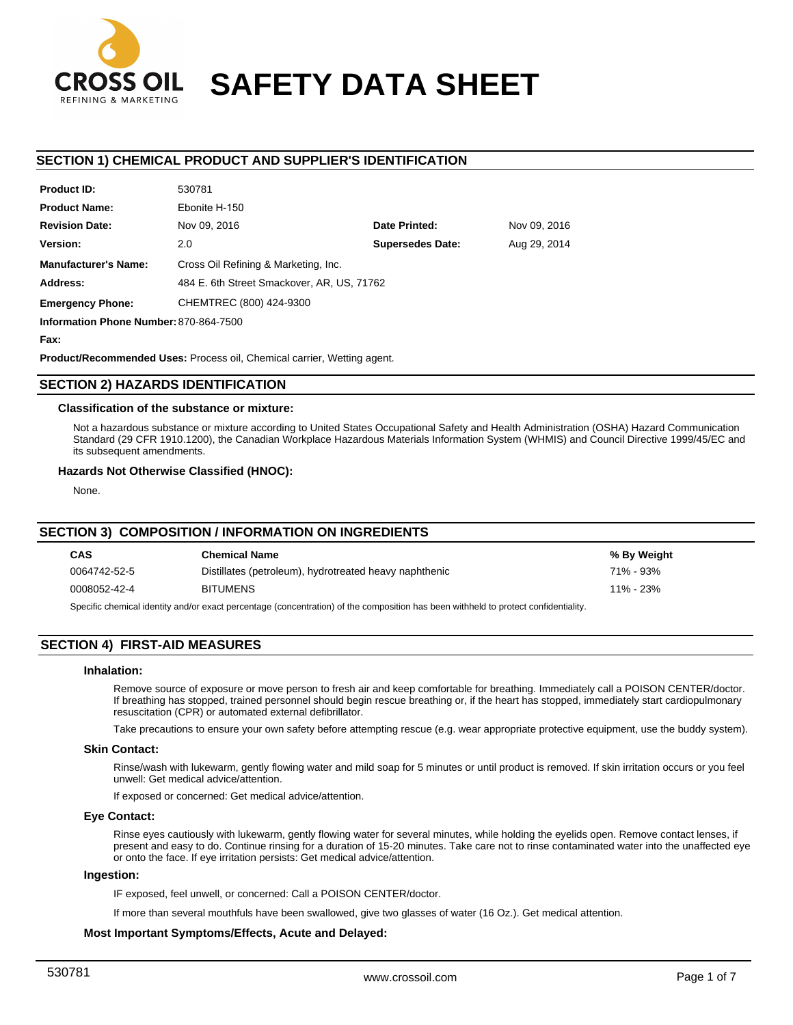

# **SAFETY DATA SHEET**

# **SECTION 1) CHEMICAL PRODUCT AND SUPPLIER'S IDENTIFICATION**

| <b>FIUGULID.</b>                                                            | <b>O</b> UCC                               |                         |              |  |
|-----------------------------------------------------------------------------|--------------------------------------------|-------------------------|--------------|--|
| <b>Product Name:</b>                                                        | Ebonite H-150                              |                         |              |  |
| <b>Revision Date:</b>                                                       | Nov 09, 2016                               | Date Printed:           | Nov 09, 2016 |  |
| Version:                                                                    | 2.0                                        | <b>Supersedes Date:</b> | Aug 29, 2014 |  |
| <b>Manufacturer's Name:</b>                                                 | Cross Oil Refining & Marketing, Inc.       |                         |              |  |
| Address:                                                                    | 484 E. 6th Street Smackover, AR, US, 71762 |                         |              |  |
| <b>Emergency Phone:</b>                                                     | CHEMTREC (800) 424-9300                    |                         |              |  |
| $\mathbf{r}$ . By $\mathbf{r}$ , $\mathbf{r}$ , $\mathbf{r}$ , $\mathbf{r}$ |                                            |                         |              |  |

**Information Phone Number:** 870-864-7500

**Fax:**

**Product ID:**

**Product/Recommended Uses:** Process oil, Chemical carrier, Wetting agent.

530781

# **SECTION 2) HAZARDS IDENTIFICATION**

## **Classification of the substance or mixture:**

Not a hazardous substance or mixture according to United States Occupational Safety and Health Administration (OSHA) Hazard Communication Standard (29 CFR 1910.1200), the Canadian Workplace Hazardous Materials Information System (WHMIS) and Council Directive 1999/45/EC and its subsequent amendments.

# **Hazards Not Otherwise Classified (HNOC):**

None.

## **SECTION 3) COMPOSITION / INFORMATION ON INGREDIENTS**

| <b>CAS</b>                                                                                                                          | <b>Chemical Name</b>                                   | % By Weight |  |  |
|-------------------------------------------------------------------------------------------------------------------------------------|--------------------------------------------------------|-------------|--|--|
| 0064742-52-5                                                                                                                        | Distillates (petroleum), hydrotreated heavy naphthenic | 71% - 93%   |  |  |
| 0008052-42-4                                                                                                                        | <b>BITUMENS</b>                                        | 11% - 23%   |  |  |
| Specific chemical identity and/or exact percentage (concentration) of the composition has been withheld to protect confidentiality. |                                                        |             |  |  |

# **SECTION 4) FIRST-AID MEASURES**

## **Inhalation:**

Remove source of exposure or move person to fresh air and keep comfortable for breathing. Immediately call a POISON CENTER/doctor. If breathing has stopped, trained personnel should begin rescue breathing or, if the heart has stopped, immediately start cardiopulmonary resuscitation (CPR) or automated external defibrillator.

Take precautions to ensure your own safety before attempting rescue (e.g. wear appropriate protective equipment, use the buddy system).

# **Skin Contact:**

Rinse/wash with lukewarm, gently flowing water and mild soap for 5 minutes or until product is removed. If skin irritation occurs or you feel unwell: Get medical advice/attention.

If exposed or concerned: Get medical advice/attention.

#### **Eye Contact:**

Rinse eyes cautiously with lukewarm, gently flowing water for several minutes, while holding the eyelids open. Remove contact lenses, if present and easy to do. Continue rinsing for a duration of 15-20 minutes. Take care not to rinse contaminated water into the unaffected eye or onto the face. If eye irritation persists: Get medical advice/attention.

### **Ingestion:**

IF exposed, feel unwell, or concerned: Call a POISON CENTER/doctor.

If more than several mouthfuls have been swallowed, give two glasses of water (16 Oz.). Get medical attention.

# **Most Important Symptoms/Effects, Acute and Delayed:**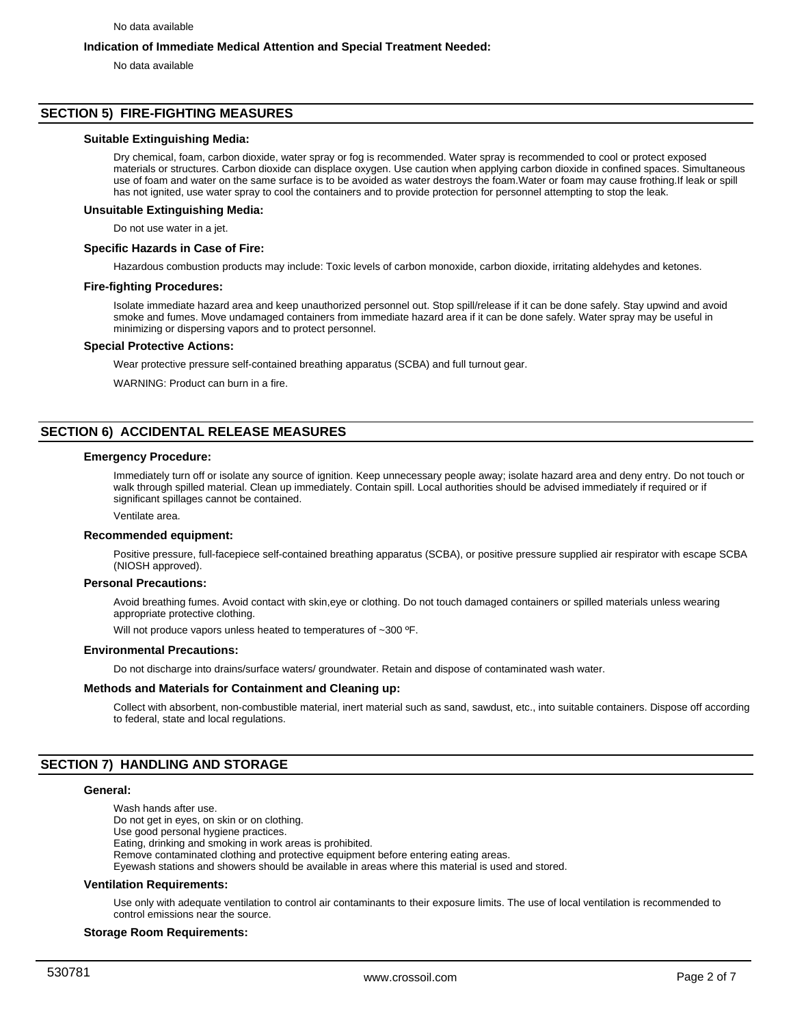# **Indication of Immediate Medical Attention and Special Treatment Needed:**

No data available

# **SECTION 5) FIRE-FIGHTING MEASURES**

#### **Suitable Extinguishing Media:**

Dry chemical, foam, carbon dioxide, water spray or fog is recommended. Water spray is recommended to cool or protect exposed materials or structures. Carbon dioxide can displace oxygen. Use caution when applying carbon dioxide in confined spaces. Simultaneous use of foam and water on the same surface is to be avoided as water destroys the foam.Water or foam may cause frothing.If leak or spill has not ignited, use water spray to cool the containers and to provide protection for personnel attempting to stop the leak.

#### **Unsuitable Extinguishing Media:**

Do not use water in a jet.

#### **Specific Hazards in Case of Fire:**

Hazardous combustion products may include: Toxic levels of carbon monoxide, carbon dioxide, irritating aldehydes and ketones.

#### **Fire-fighting Procedures:**

Isolate immediate hazard area and keep unauthorized personnel out. Stop spill/release if it can be done safely. Stay upwind and avoid smoke and fumes. Move undamaged containers from immediate hazard area if it can be done safely. Water spray may be useful in minimizing or dispersing vapors and to protect personnel.

#### **Special Protective Actions:**

Wear protective pressure self-contained breathing apparatus (SCBA) and full turnout gear.

WARNING: Product can burn in a fire.

# **SECTION 6) ACCIDENTAL RELEASE MEASURES**

#### **Emergency Procedure:**

Immediately turn off or isolate any source of ignition. Keep unnecessary people away; isolate hazard area and deny entry. Do not touch or walk through spilled material. Clean up immediately. Contain spill. Local authorities should be advised immediately if required or if significant spillages cannot be contained.

#### Ventilate area.

#### **Recommended equipment:**

Positive pressure, full-facepiece self-contained breathing apparatus (SCBA), or positive pressure supplied air respirator with escape SCBA (NIOSH approved).

#### **Personal Precautions:**

Avoid breathing fumes. Avoid contact with skin,eye or clothing. Do not touch damaged containers or spilled materials unless wearing appropriate protective clothing.

Will not produce vapors unless heated to temperatures of ~300 °F.

#### **Environmental Precautions:**

Do not discharge into drains/surface waters/ groundwater. Retain and dispose of contaminated wash water.

#### **Methods and Materials for Containment and Cleaning up:**

Collect with absorbent, non-combustible material, inert material such as sand, sawdust, etc., into suitable containers. Dispose off according to federal, state and local regulations.

## **SECTION 7) HANDLING AND STORAGE**

## **General:**

Wash hands after use. Do not get in eyes, on skin or on clothing. Use good personal hygiene practices. Eating, drinking and smoking in work areas is prohibited.

Remove contaminated clothing and protective equipment before entering eating areas.

Eyewash stations and showers should be available in areas where this material is used and stored.

#### **Ventilation Requirements:**

Use only with adequate ventilation to control air contaminants to their exposure limits. The use of local ventilation is recommended to control emissions near the source.

#### **Storage Room Requirements:**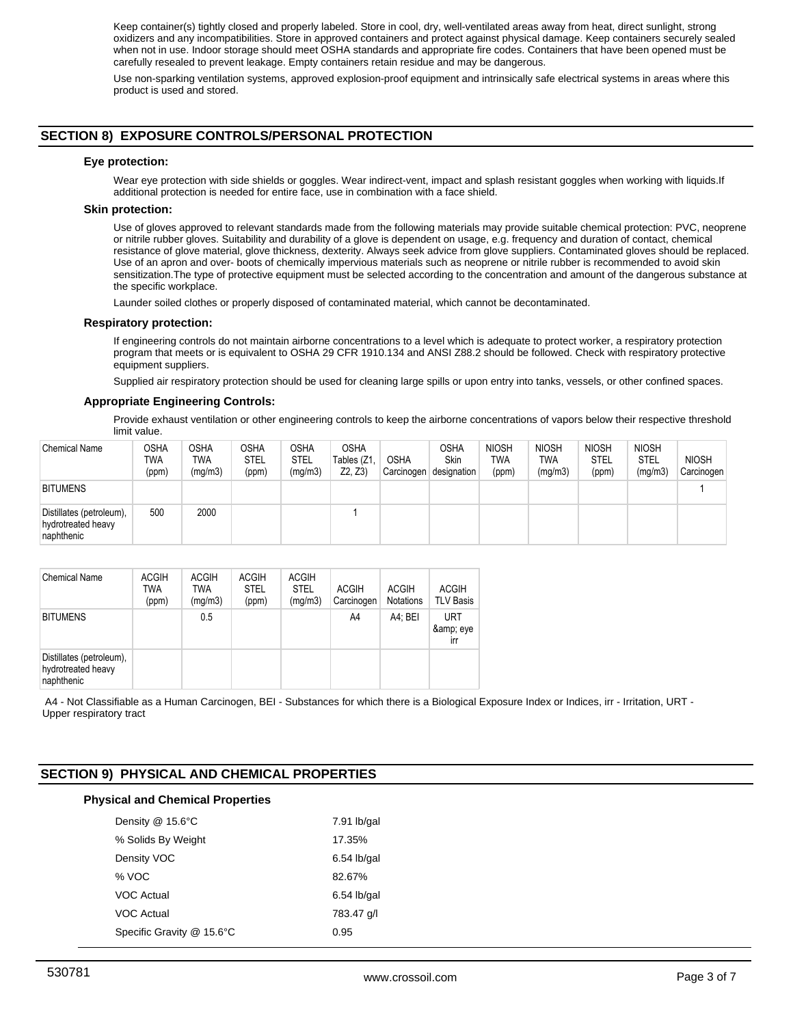Keep container(s) tightly closed and properly labeled. Store in cool, dry, well-ventilated areas away from heat, direct sunlight, strong oxidizers and any incompatibilities. Store in approved containers and protect against physical damage. Keep containers securely sealed when not in use. Indoor storage should meet OSHA standards and appropriate fire codes. Containers that have been opened must be carefully resealed to prevent leakage. Empty containers retain residue and may be dangerous.

Use non-sparking ventilation systems, approved explosion-proof equipment and intrinsically safe electrical systems in areas where this product is used and stored.

# **SECTION 8) EXPOSURE CONTROLS/PERSONAL PROTECTION**

## **Eye protection:**

Wear eye protection with side shields or goggles. Wear indirect-vent, impact and splash resistant goggles when working with liquids.If additional protection is needed for entire face, use in combination with a face shield.

#### **Skin protection:**

Use of gloves approved to relevant standards made from the following materials may provide suitable chemical protection: PVC, neoprene or nitrile rubber gloves. Suitability and durability of a glove is dependent on usage, e.g. frequency and duration of contact, chemical resistance of glove material, glove thickness, dexterity. Always seek advice from glove suppliers. Contaminated gloves should be replaced. Use of an apron and over- boots of chemically impervious materials such as neoprene or nitrile rubber is recommended to avoid skin sensitization.The type of protective equipment must be selected according to the concentration and amount of the dangerous substance at the specific workplace.

Launder soiled clothes or properly disposed of contaminated material, which cannot be decontaminated.

#### **Respiratory protection:**

If engineering controls do not maintain airborne concentrations to a level which is adequate to protect worker, a respiratory protection program that meets or is equivalent to OSHA 29 CFR 1910.134 and ANSI Z88.2 should be followed. Check with respiratory protective equipment suppliers.

Supplied air respiratory protection should be used for cleaning large spills or upon entry into tanks, vessels, or other confined spaces.

#### **Appropriate Engineering Controls:**

Provide exhaust ventilation or other engineering controls to keep the airborne concentrations of vapors below their respective threshold limit value.

| <b>Chemical Name</b>                                         | OSHA<br>TWA<br>(ppm) | <b>OSHA</b><br>TWA<br>(mg/m3) | <b>OSHA</b><br><b>STEL</b><br>(ppm) | OSHA<br><b>STEL</b><br>(mg/m3) | <b>OSHA</b><br>Tables (Z1.<br>Z2, Z3 | <b>OSHA</b><br>Carcinogen | <b>OSHA</b><br>Skin<br>designation | <b>NIOSH</b><br><b>TWA</b><br>(ppm) | <b>NIOSH</b><br><b>TWA</b><br>(mg/m3) | <b>NIOSH</b><br><b>STEL</b><br>(ppm) | <b>NIOSH</b><br><b>STEL</b><br>(mg/m3) | <b>NIOSH</b><br>Carcinogen |
|--------------------------------------------------------------|----------------------|-------------------------------|-------------------------------------|--------------------------------|--------------------------------------|---------------------------|------------------------------------|-------------------------------------|---------------------------------------|--------------------------------------|----------------------------------------|----------------------------|
| <b>BITUMENS</b>                                              |                      |                               |                                     |                                |                                      |                           |                                    |                                     |                                       |                                      |                                        |                            |
| Distillates (petroleum),<br>hydrotreated heavy<br>naphthenic | 500                  | 2000                          |                                     |                                |                                      |                           |                                    |                                     |                                       |                                      |                                        |                            |

| <b>Chemical Name</b>                                         | <b>ACGIH</b><br><b>TWA</b><br>(ppm) | <b>ACGIH</b><br>TWA<br>(mq/m3) | <b>ACGIH</b><br><b>STEL</b><br>(ppm) | <b>ACGIH</b><br><b>STEL</b><br>(mg/m3) | <b>ACGIH</b><br>Carcinogen | <b>ACGIH</b><br><b>Notations</b> | <b>ACGIH</b><br><b>TLV Basis</b> |
|--------------------------------------------------------------|-------------------------------------|--------------------------------|--------------------------------------|----------------------------------------|----------------------------|----------------------------------|----------------------------------|
| <b>BITUMENS</b>                                              |                                     | 0.5                            |                                      |                                        | A4                         | A4: BEI                          | <b>URT</b><br>& eye<br>irr       |
| Distillates (petroleum),<br>hydrotreated heavy<br>naphthenic |                                     |                                |                                      |                                        |                            |                                  |                                  |

 A4 - Not Classifiable as a Human Carcinogen, BEI - Substances for which there is a Biological Exposure Index or Indices, irr - Irritation, URT - Upper respiratory tract

# **SECTION 9) PHYSICAL AND CHEMICAL PROPERTIES**

## **Physical and Chemical Properties**

| Density @ 15.6°C          | $7.91$ lb/gal |
|---------------------------|---------------|
| % Solids By Weight        | 17.35%        |
| Density VOC               | $6.54$ lb/gal |
| % VOC                     | 82.67%        |
| VOC Actual                | $6.54$ lb/gal |
| VOC Actual                | 783.47 g/l    |
| Specific Gravity @ 15.6°C | 0.95          |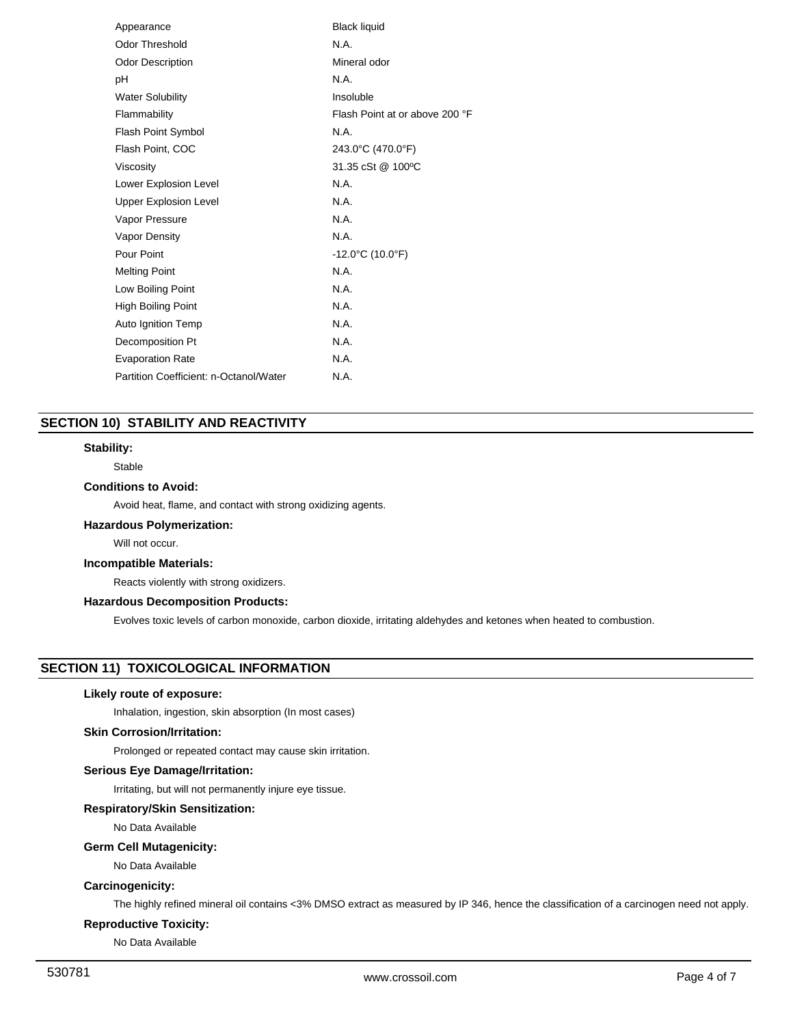| Appearance                             | <b>Black liquid</b>                   |
|----------------------------------------|---------------------------------------|
| <b>Odor Threshold</b>                  | N.A.                                  |
| <b>Odor Description</b>                | Mineral odor                          |
| рH                                     | N.A.                                  |
| <b>Water Solubility</b>                | Insoluble                             |
| Flammability                           | Flash Point at or above 200 °F        |
| <b>Flash Point Symbol</b>              | N.A.                                  |
| Flash Point, COC                       | 243.0°C (470.0°F)                     |
| Viscosity                              | 31.35 cSt @ 100°C                     |
| Lower Explosion Level                  | N.A.                                  |
| <b>Upper Explosion Level</b>           | N.A.                                  |
| Vapor Pressure                         | N.A.                                  |
| Vapor Density                          | N.A.                                  |
| Pour Point                             | $-12.0^{\circ}$ C (10.0 $^{\circ}$ F) |
| <b>Melting Point</b>                   | N.A.                                  |
| Low Boiling Point                      | N.A.                                  |
| <b>High Boiling Point</b>              | N.A.                                  |
| Auto Ignition Temp                     | N.A.                                  |
| Decomposition Pt                       | N.A.                                  |
| <b>Evaporation Rate</b>                | N.A.                                  |
| Partition Coefficient: n-Octanol/Water | N.A.                                  |
|                                        |                                       |

# **SECTION 10) STABILITY AND REACTIVITY**

# **Stability:**

Stable

# **Conditions to Avoid:**

Avoid heat, flame, and contact with strong oxidizing agents.

## **Hazardous Polymerization:**

Will not occur.

## **Incompatible Materials:**

Reacts violently with strong oxidizers.

# **Hazardous Decomposition Products:**

Evolves toxic levels of carbon monoxide, carbon dioxide, irritating aldehydes and ketones when heated to combustion.

# **SECTION 11) TOXICOLOGICAL INFORMATION**

## **Likely route of exposure:**

Inhalation, ingestion, skin absorption (In most cases)

# **Skin Corrosion/Irritation:**

Prolonged or repeated contact may cause skin irritation.

# **Serious Eye Damage/Irritation:**

Irritating, but will not permanently injure eye tissue.

#### **Respiratory/Skin Sensitization:**

No Data Available

# **Germ Cell Mutagenicity:**

No Data Available

## **Carcinogenicity:**

The highly refined mineral oil contains <3% DMSO extract as measured by IP 346, hence the classification of a carcinogen need not apply.

# **Reproductive Toxicity:**

No Data Available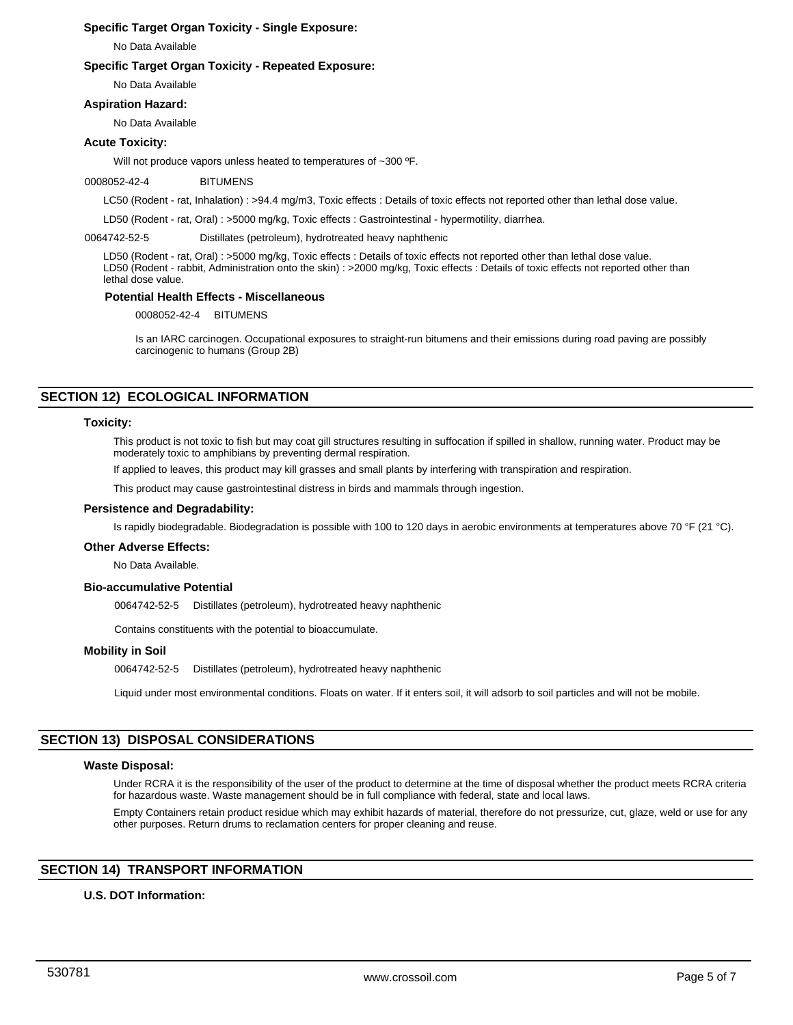# **Specific Target Organ Toxicity - Single Exposure:**

No Data Available

# **Specific Target Organ Toxicity - Repeated Exposure:**

No Data Available

## **Aspiration Hazard:**

No Data Available

# **Acute Toxicity:**

Will not produce vapors unless heated to temperatures of ~300 ºF.

## 0008052-42-4 BITUMENS

LC50 (Rodent - rat, Inhalation) : >94.4 mg/m3, Toxic effects : Details of toxic effects not reported other than lethal dose value.

LD50 (Rodent - rat, Oral) : >5000 mg/kg, Toxic effects : Gastrointestinal - hypermotility, diarrhea.

0064742-52-5 Distillates (petroleum), hydrotreated heavy naphthenic

LD50 (Rodent - rat, Oral) : >5000 mg/kg, Toxic effects : Details of toxic effects not reported other than lethal dose value. LD50 (Rodent - rabbit, Administration onto the skin) : >2000 mg/kg, Toxic effects : Details of toxic effects not reported other than lethal dose value.

# **Potential Health Effects - Miscellaneous**

0008052-42-4 BITUMENS

Is an IARC carcinogen. Occupational exposures to straight-run bitumens and their emissions during road paving are possibly carcinogenic to humans (Group 2B)

# **SECTION 12) ECOLOGICAL INFORMATION**

## **Toxicity:**

This product is not toxic to fish but may coat gill structures resulting in suffocation if spilled in shallow, running water. Product may be moderately toxic to amphibians by preventing dermal respiration.

If applied to leaves, this product may kill grasses and small plants by interfering with transpiration and respiration.

This product may cause gastrointestinal distress in birds and mammals through ingestion.

## **Persistence and Degradability:**

Is rapidly biodegradable. Biodegradation is possible with 100 to 120 days in aerobic environments at temperatures above 70 °F (21 °C).

## **Other Adverse Effects:**

No Data Available.

### **Bio-accumulative Potential**

0064742-52-5 Distillates (petroleum), hydrotreated heavy naphthenic

Contains constituents with the potential to bioaccumulate.

## **Mobility in Soil**

0064742-52-5 Distillates (petroleum), hydrotreated heavy naphthenic

Liquid under most environmental conditions. Floats on water. If it enters soil, it will adsorb to soil particles and will not be mobile.

# **SECTION 13) DISPOSAL CONSIDERATIONS**

### **Waste Disposal:**

Under RCRA it is the responsibility of the user of the product to determine at the time of disposal whether the product meets RCRA criteria for hazardous waste. Waste management should be in full compliance with federal, state and local laws.

Empty Containers retain product residue which may exhibit hazards of material, therefore do not pressurize, cut, glaze, weld or use for any other purposes. Return drums to reclamation centers for proper cleaning and reuse.

# **SECTION 14) TRANSPORT INFORMATION**

## **U.S. DOT Information:**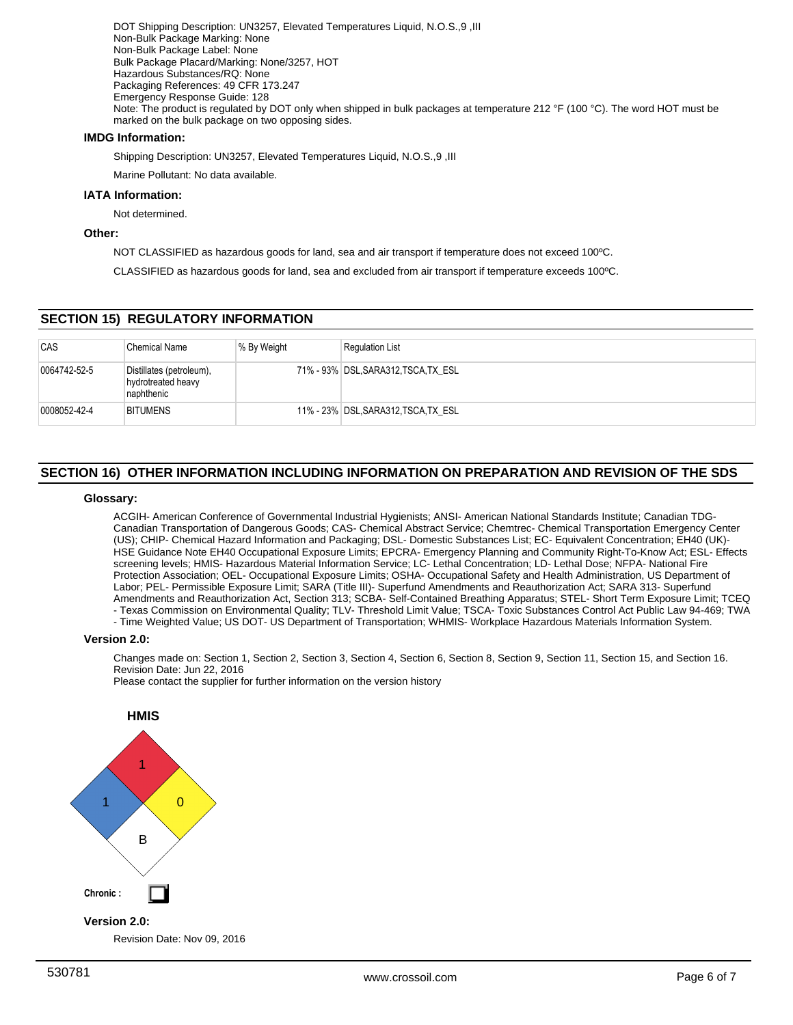DOT Shipping Description: UN3257, Elevated Temperatures Liquid, N.O.S.,9 ,III Non-Bulk Package Marking: None Non-Bulk Package Label: None Bulk Package Placard/Marking: None/3257, HOT Hazardous Substances/RQ: None Packaging References: 49 CFR 173.247 Emergency Response Guide: 128 Note: The product is regulated by DOT only when shipped in bulk packages at temperature 212 °F (100 °C). The word HOT must be marked on the bulk package on two opposing sides.

## **IMDG Information:**

Shipping Description: UN3257, Elevated Temperatures Liquid, N.O.S.,9 ,III

Marine Pollutant: No data available.

## **IATA Information:**

Not determined.

# **Other:**

NOT CLASSIFIED as hazardous goods for land, sea and air transport if temperature does not exceed 100ºC.

CLASSIFIED as hazardous goods for land, sea and excluded from air transport if temperature exceeds 100ºC.

# **SECTION 15) REGULATORY INFORMATION**

| <b>CAS</b>   | <b>Chemical Name</b>                                         | ∣% By Weight | <b>Regulation List</b>               |
|--------------|--------------------------------------------------------------|--------------|--------------------------------------|
| 0064742-52-5 | Distillates (petroleum),<br>hydrotreated heavy<br>naphthenic |              | 71% - 93% DSL, SARA312, TSCA, TX ESL |
| 0008052-42-4 | <b>BITUMENS</b>                                              |              | 11% - 23% DSL, SARA312, TSCA, TX ESL |

# **SECTION 16) OTHER INFORMATION INCLUDING INFORMATION ON PREPARATION AND REVISION OF THE SDS**

## **Glossary:**

ACGIH- American Conference of Governmental Industrial Hygienists; ANSI- American National Standards Institute; Canadian TDG-Canadian Transportation of Dangerous Goods; CAS- Chemical Abstract Service; Chemtrec- Chemical Transportation Emergency Center (US); CHIP- Chemical Hazard Information and Packaging; DSL- Domestic Substances List; EC- Equivalent Concentration; EH40 (UK)- HSE Guidance Note EH40 Occupational Exposure Limits; EPCRA- Emergency Planning and Community Right-To-Know Act; ESL- Effects screening levels; HMIS- Hazardous Material Information Service; LC- Lethal Concentration; LD- Lethal Dose; NFPA- National Fire Protection Association; OEL- Occupational Exposure Limits; OSHA- Occupational Safety and Health Administration, US Department of Labor; PEL- Permissible Exposure Limit; SARA (Title III)- Superfund Amendments and Reauthorization Act; SARA 313- Superfund Amendments and Reauthorization Act, Section 313; SCBA- Self-Contained Breathing Apparatus; STEL- Short Term Exposure Limit; TCEQ - Texas Commission on Environmental Quality; TLV- Threshold Limit Value; TSCA- Toxic Substances Control Act Public Law 94-469; TWA

- Time Weighted Value; US DOT- US Department of Transportation; WHMIS- Workplace Hazardous Materials Information System.

## **Version 2.0:**

Changes made on: Section 1, Section 2, Section 3, Section 4, Section 6, Section 8, Section 9, Section 11, Section 15, and Section 16. Revision Date: Jun 22, 2016

Please contact the supplier for further information on the version history



Revision Date: Nov 09, 2016